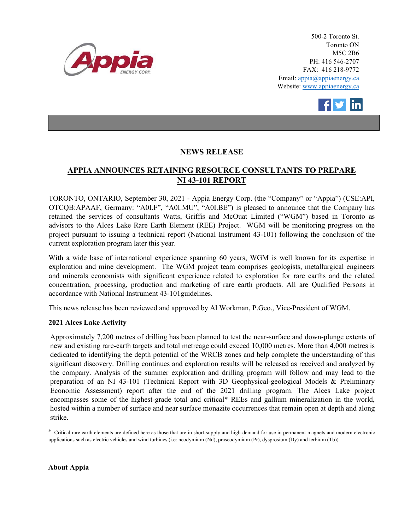

500-2 Toronto St. Toronto ON M5C 2B6 PH: 416 546-2707 FAX: 416 218-9772 Email: appia@appiaenergy.ca Website: www.appiaenergy.ca



## **NEWS RELEASE**

## **APPIA ANNOUNCES RETAINING RESOURCE CONSULTANTS TO PREPARE NI 43-101 REPORT**

TORONTO, ONTARIO, September 30, 2021 - Appia Energy Corp. (the "Company" or "Appia") (CSE:API, OTCQB:APAAF, Germany: "A0I.F", "A0I.MU", "A0I.BE") is pleased to announce that the Company has retained the services of consultants Watts, Griffis and McOuat Limited ("WGM") based in Toronto as advisors to the Alces Lake Rare Earth Element (REE) Project. WGM will be monitoring progress on the project pursuant to issuing a technical report (National Instrument 43-101) following the conclusion of the current exploration program later this year.

With a wide base of international experience spanning 60 years, WGM is well known for its expertise in exploration and mine development. The WGM project team comprises geologists, metallurgical engineers and minerals economists with significant experience related to exploration for rare earths and the related concentration, processing, production and marketing of rare earth products. All are Qualified Persons in accordance with National Instrument 43-101guidelines.

This news release has been reviewed and approved by Al Workman, P.Geo., Vice-President of WGM.

## **2021 Alces Lake Activity**

Approximately 7,200 metres of drilling has been planned to test the near-surface and down-plunge extents of new and existing rare-earth targets and total metreage could exceed 10,000 metres. More than 4,000 metres is dedicated to identifying the depth potential of the WRCB zones and help complete the understanding of this significant discovery. Drilling continues and exploration results will be released as received and analyzed by the company. Analysis of the summer exploration and drilling program will follow and may lead to the preparation of an NI 43-101 (Technical Report with 3D Geophysical-geological Models & Preliminary Economic Assessment) report after the end of the 2021 drilling program. The Alces Lake project encompasses some of the highest-grade total and critical\* REEs and gallium mineralization in the world, hosted within a number of surface and near surface monazite occurrences that remain open at depth and along strike.

\* Critical rare earth elements are defined here as those that are in short-supply and high-demand for use in permanent magnets and modern electronic applications such as electric vehicles and wind turbines (i.e: neodymium (Nd), praseodymium (Pr), dysprosium (Dy) and terbium (Tb)).

**About Appia**